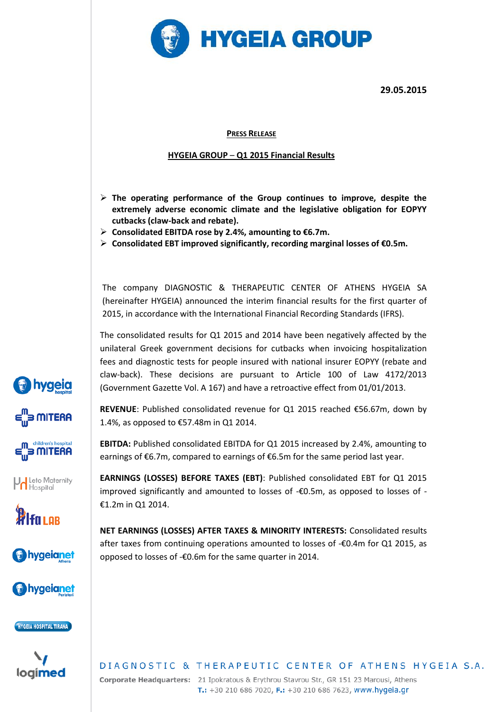

#### **PRESS RELEASE**

### **HYGEIA GROUP** – **Q1 2015 Financial Results**

- **The operating performance of the Group continues to improve, despite the extremely adverse economic climate and the legislative obligation for EOPYY cutbacks (claw-back and rebate).**
- **Consolidated EBITDA rose by 2.4%, amounting to €6.7m.**

hygeia

3 MITERA

3 MITERA

Leto Maternity

**WI**fn Lor

bygeianet

hygeianet

**HYGEIA HOSPITAL TIRANA** 

loaimed

**Consolidated EBT improved significantly, recording marginal losses of €0.5m.**

The company DIAGNOSTIC & THERAPEUTIC CENTER OF ATHENS HYGEIA SA (hereinafter HYGEIA) announced the interim financial results for the first quarter of 2015, in accordance with the International Financial Recording Standards (IFRS).

The consolidated results for Q1 2015 and 2014 have been negatively affected by the unilateral Greek government decisions for cutbacks when invoicing hospitalization fees and diagnostic tests for people insured with national insurer EOPYY (rebate and claw-back). These decisions are pursuant to Article 100 of Law 4172/2013 (Government Gazette Vol. A 167) and have a retroactive effect from 01/01/2013.

**REVENUE**: Published consolidated revenue for Q1 2015 reached €56.67m, down by 1.4%, as opposed to €57.48m in Q1 2014.

**EBITDA:** Published consolidated EBITDA for Q1 2015 increased by 2.4%, amounting to earnings of €6.7m, compared to earnings of €6.5m for the same period last year.

**EARNINGS (LOSSES) BEFORE TAXES (EBT)**: Published consolidated EBT for Q1 2015 improved significantly and amounted to losses of -€0.5m, as opposed to losses of - €1.2m in Q1 2014.

**NET EARNINGS (LOSSES) AFTER TAXES & MINORITY INTERESTS:** Consolidated results after taxes from continuing operations amounted to losses of -€0.4m for Q1 2015, as opposed to losses of -€0.6m for the same quarter in 2014.

# DIAGNOSTIC & THERAPEUTIC CENTER OF ATHENS HYGEIA S.A.

Corporate Headquarters: 21 Ipokratous & Erythrou Stavrou Str., GR 151 23 Marousi, Athens T.: +30 210 686 7020, F.: +30 210 686 7623, www.hygeia.gr